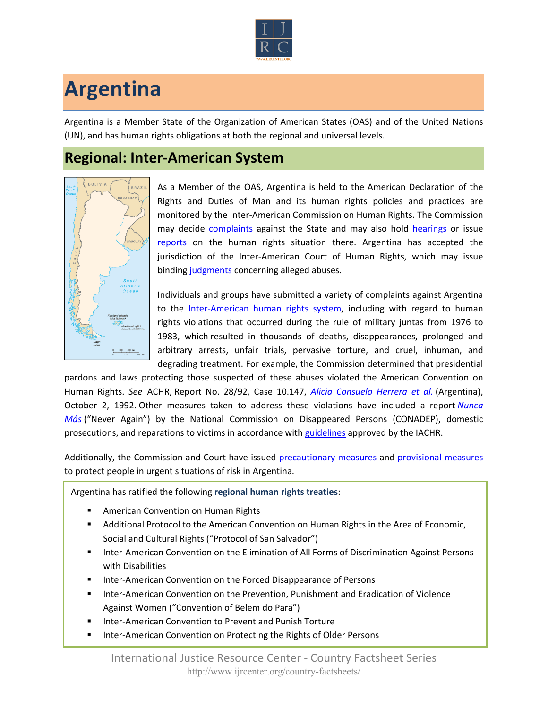

## **Argentina**

Argentina is a Member State of the Organization of American States (OAS) and of the United Nations (UN), and has human rights obligations at both the regional and universal levels.

## **Regional: Inter-American System**



As a Member of the OAS, Argentina is held to the American Declaration of the Rights and Duties of Man and its human rights policies and practices are monitored by the Inter-American Commission on Human Rights. The Commission may decide [complaints](http://www.oas.org/en/iachr/decisions/merits.asp) against the State and may also hold [hearings](http://www.oas.org/es/cidh/audiencias/advanced.aspx?lang=en) or issue [reports](http://www.oas.org/en/iachr/reports/country.asp) on the human rights situation there. Argentina has accepted the jurisdiction of the Inter-American Court of Human Rights, which may issue binding [judgments](http://www.corteidh.or.cr/cf/Jurisprudencia2/busqueda_casos_contenciosos.cfm?lang=en) concerning alleged abuses.

Individuals and groups have submitted a variety of complaints against Argentina to the [Inter-American human rights system](http://www.ijrcenter.org/regional/inter-american-system/), including with regard to human rights violations that occurred during the rule of military juntas from 1976 to 1983, which resulted in thousands of deaths, disappearances, prolonged and arbitrary arrests, unfair trials, pervasive torture, and cruel, inhuman, and degrading treatment. For example, the Commission determined that presidential

pardons and laws protecting those suspected of these abuses violated the American Convention on Human Rights. *See* IACHR, Report No. 28/92, Case 10.147, *[Alicia Consuelo Herrera et al.](http://www.cidh.oas.org/annualrep/92eng/Argentina10.147.htm)* (Argentina), October 2, 1992. Other measures taken to address these violations have included a report *[Nunca](http://www.desaparecidos.org/nuncamas/web/english/library/nevagain/nevagain_001.htm)  [Más](http://www.desaparecidos.org/nuncamas/web/english/library/nevagain/nevagain_001.htm)* ("Never Again") by the National Commission on Disappeared Persons (CONADEP), domestic prosecutions, and reparations to victims in accordance with [guidelines](http://cidh.org/annualrep/92eng/Argentina10.288.htm) approved by the IACHR.

Additionally, the Commission and Court have issued [precautionary measures](http://www.oas.org/en/iachr/decisions/precautionary.asp) and [provisional measures](http://www.corteidh.or.cr/cf/Jurisprudencia2/busqueda_medidas_provisionales.cfm?lang=en) to protect people in urgent situations of risk in Argentina.

Argentina has ratified the following **regional human rights treaties**:

- American Convention on Human Rights
- Additional Protocol to the American Convention on Human Rights in the Area of Economic, Social and Cultural Rights ("Protocol of San Salvador")
- **Inter-American Convention on the Elimination of All Forms of Discrimination Against Persons** with Disabilities
- Inter-American Convention on the Forced Disappearance of Persons
- Inter-American Convention on the Prevention, Punishment and Eradication of Violence Against Women ("Convention of Belem do Pará")
- Inter-American Convention to Prevent and Punish Torture
- Inter-American Convention on Protecting the Rights of Older Persons